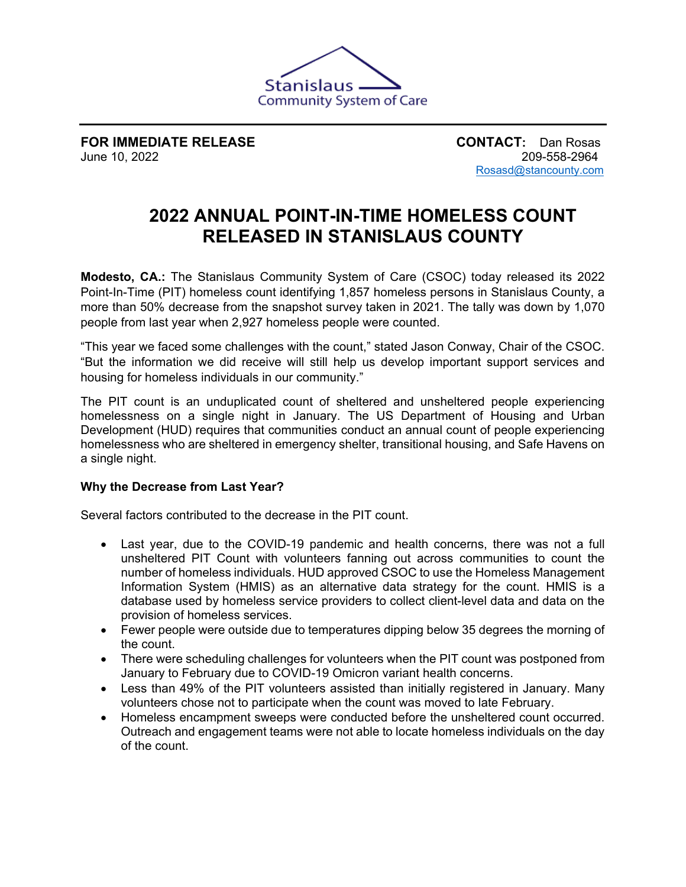

**FOR IMMEDIATE RELEASE CONTACT:** Dan Rosas<br>June 10, 2022 209-558-2964 June 10, 2022

[Rosasd@stancounty.com](mailto:Rosasd@stancounty.com)

# **2022 ANNUAL POINT-IN-TIME HOMELESS COUNT RELEASED IN STANISLAUS COUNTY**

**Modesto, CA.:** The Stanislaus Community System of Care (CSOC) today released its 2022 Point-In-Time (PIT) homeless count identifying 1,857 homeless persons in Stanislaus County, a more than 50% decrease from the snapshot survey taken in 2021. The tally was down by 1,070 people from last year when 2,927 homeless people were counted.

"This year we faced some challenges with the count," stated Jason Conway, Chair of the CSOC. "But the information we did receive will still help us develop important support services and housing for homeless individuals in our community."

The PIT count is an unduplicated count of sheltered and unsheltered people experiencing homelessness on a single night in January. The US Department of Housing and Urban Development (HUD) requires that communities conduct an annual count of people experiencing homelessness who are sheltered in emergency shelter, transitional housing, and Safe Havens on a single night.

## **Why the Decrease from Last Year?**

Several factors contributed to the decrease in the PIT count.

- Last year, due to the COVID-19 pandemic and health concerns, there was not a full unsheltered PIT Count with volunteers fanning out across communities to count the number of homeless individuals. HUD approved CSOC to use the Homeless Management Information System (HMIS) as an alternative data strategy for the count. HMIS is a database used by homeless service providers to collect client-level data and data on the provision of homeless services.
- Fewer people were outside due to temperatures dipping below 35 degrees the morning of the count.
- There were scheduling challenges for volunteers when the PIT count was postponed from January to February due to COVID-19 Omicron variant health concerns.
- Less than 49% of the PIT volunteers assisted than initially registered in January. Many volunteers chose not to participate when the count was moved to late February.
- Homeless encampment sweeps were conducted before the unsheltered count occurred. Outreach and engagement teams were not able to locate homeless individuals on the day of the count.